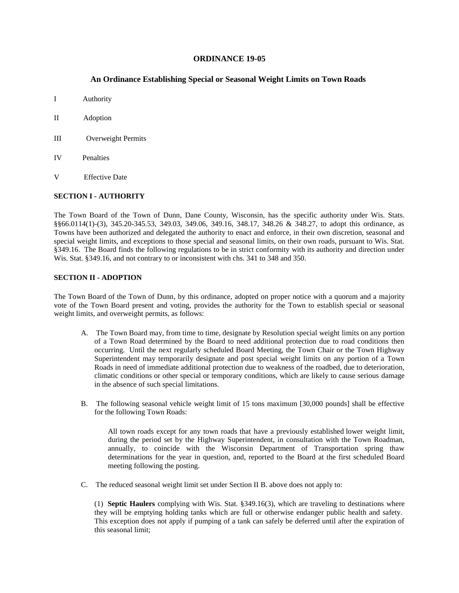## **ORDINANCE 19-05**

# **An Ordinance Establishing Special or Seasonal Weight Limits on Town Roads**

- I Authority
- II Adoption
- III Overweight Permits
- IV Penalties
- V Effective Date

#### **SECTION I - AUTHORITY**

The Town Board of the Town of Dunn, Dane County, Wisconsin, has the specific authority under Wis. Stats. §§66.0114(1)-(3), 345.20-345.53, 349.03, 349.06, 349.16, 348.17, 348.26 & 348.27, to adopt this ordinance, as Towns have been authorized and delegated the authority to enact and enforce, in their own discretion, seasonal and special weight limits, and exceptions to those special and seasonal limits, on their own roads, pursuant to Wis. Stat. §349.16. The Board finds the following regulations to be in strict conformity with its authority and direction under Wis. Stat. §349.16, and not contrary to or inconsistent with chs. 341 to 348 and 350.

### **SECTION II - ADOPTION**

The Town Board of the Town of Dunn, by this ordinance, adopted on proper notice with a quorum and a majority vote of the Town Board present and voting, provides the authority for the Town to establish special or seasonal weight limits, and overweight permits, as follows:

- A. The Town Board may, from time to time, designate by Resolution special weight limits on any portion of a Town Road determined by the Board to need additional protection due to road conditions then occurring. Until the next regularly scheduled Board Meeting, the Town Chair or the Town Highway Superintendent may temporarily designate and post special weight limits on any portion of a Town Roads in need of immediate additional protection due to weakness of the roadbed, due to deterioration, climatic conditions or other special or temporary conditions, which are likely to cause serious damage in the absence of such special limitations.
- B. The following seasonal vehicle weight limit of 15 tons maximum [30,000 pounds] shall be effective for the following Town Roads:

All town roads except for any town roads that have a previously established lower weight limit, during the period set by the Highway Superintendent, in consultation with the Town Roadman, annually, to coincide with the Wisconsin Department of Transportation spring thaw determinations for the year in question, and, reported to the Board at the first scheduled Board meeting following the posting.

C. The reduced seasonal weight limit set under Section II B. above does not apply to:

(1) **Septic Haulers** complying with Wis. Stat. §349.16(3), which are traveling to destinations where they will be emptying holding tanks which are full or otherwise endanger public health and safety. This exception does not apply if pumping of a tank can safely be deferred until after the expiration of this seasonal limit;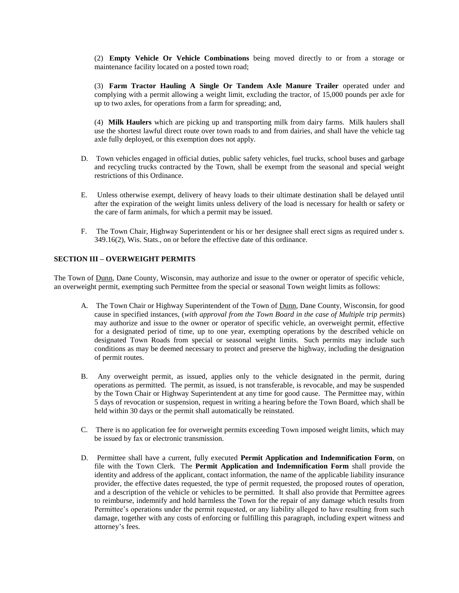(2) **Empty Vehicle Or Vehicle Combinations** being moved directly to or from a storage or maintenance facility located on a posted town road;

(3) **Farm Tractor Hauling A Single Or Tandem Axle Manure Trailer** operated under and complying with a permit allowing a weight limit, excluding the tractor, of 15,000 pounds per axle for up to two axles, for operations from a farm for spreading; and,

(4) **Milk Haulers** which are picking up and transporting milk from dairy farms. Milk haulers shall use the shortest lawful direct route over town roads to and from dairies, and shall have the vehicle tag axle fully deployed, or this exemption does not apply.

- D. Town vehicles engaged in official duties, public safety vehicles, fuel trucks, school buses and garbage and recycling trucks contracted by the Town, shall be exempt from the seasonal and special weight restrictions of this Ordinance.
- E. Unless otherwise exempt, delivery of heavy loads to their ultimate destination shall be delayed until after the expiration of the weight limits unless delivery of the load is necessary for health or safety or the care of farm animals, for which a permit may be issued.
- F. The Town Chair, Highway Superintendent or his or her designee shall erect signs as required under s. 349.16(2), Wis. Stats., on or before the effective date of this ordinance.

# **SECTION III – OVERWEIGHT PERMITS**

The Town of Dunn, Dane County, Wisconsin, may authorize and issue to the owner or operator of specific vehicle, an overweight permit, exempting such Permittee from the special or seasonal Town weight limits as follows:

- A. The Town Chair or Highway Superintendent of the Town of Dunn, Dane County, Wisconsin, for good cause in specified instances, (with approval from the Town Board in the case of Multiple trip permits) may authorize and issue to the owner or operator of specific vehicle, an overweight permit, effective for a designated period of time, up to one year, exempting operations by the described vehicle on designated Town Roads from special or seasonal weight limits. Such permits may include such conditions as may be deemed necessary to protect and preserve the highway, including the designation of permit routes.
- B. Any overweight permit, as issued, applies only to the vehicle designated in the permit, during operations as permitted. The permit, as issued, is not transferable, is revocable, and may be suspended by the Town Chair or Highway Superintendent at any time for good cause. The Permittee may, within 5 days of revocation or suspension, request in writing a hearing before the Town Board, which shall be held within 30 days or the permit shall automatically be reinstated.
- C. There is no application fee for overweight permits exceeding Town imposed weight limits, which may be issued by fax or electronic transmission.
- D. Permittee shall have a current, fully executed **Permit Application and Indemnification Form**, on file with the Town Clerk. The **Permit Application and Indemnification Form** shall provide the identity and address of the applicant, contact information, the name of the applicable liability insurance provider, the effective dates requested, the type of permit requested, the proposed routes of operation, and a description of the vehicle or vehicles to be permitted. It shall also provide that Permittee agrees to reimburse, indemnify and hold harmless the Town for the repair of any damage which results from Permittee's operations under the permit requested, or any liability alleged to have resulting from such damage, together with any costs of enforcing or fulfilling this paragraph, including expert witness and attorney's fees.